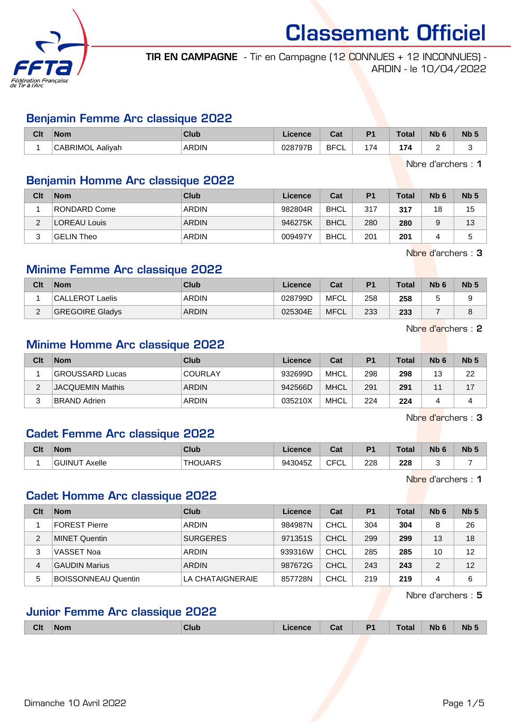

TIR EN CAMPAGNE - Tir en Campagne (12 CONNUES + 12 INCONNUES) - ARDIN - le 10/04/2022

#### Benjamin Femme Arc classique 2022

| Clt | <b>Nom</b>                                     | Club         | .icence      | r.,<br>⊍a                  | D <sub>4</sub>                | <b>Total</b> | Nb     | <b>Nb</b> |
|-----|------------------------------------------------|--------------|--------------|----------------------------|-------------------------------|--------------|--------|-----------|
|     | $\sim$ $\sim$ $\sim$ $\sim$<br>Aaliyah<br>TMI. | <b>ARDIN</b> | 028797B<br>. | <b>BFC</b><br>◡∟<br>$\sim$ | $\cdot$ $\rightarrow$<br>. 14 | 174          | $\sim$ |           |

Nbre d'archers : 1

## Benjamin Homme Arc classique 2022

| Clt    | <b>Nom</b>   | Club         | Licence | Cat         | P <sub>1</sub> | <b>Total</b> | N <sub>b</sub> 6 | Nb <sub>5</sub> |
|--------|--------------|--------------|---------|-------------|----------------|--------------|------------------|-----------------|
|        | RONDARD Come | <b>ARDIN</b> | 982804R | <b>BHCL</b> | 317            | 317          | 18               | 15              |
| ົ<br>∼ | LOREAU Louis | <b>ARDIN</b> | 946275K | <b>BHCL</b> | 280            | 280          |                  | 13              |
| ≏      | GELIN Theo   | <b>ARDIN</b> | 009497Y | <b>BHCL</b> | 201            | 201          |                  |                 |

Nbre d'archers : 3

## Minime Femme Arc classique 2022

| Clt      | <b>Nom</b>             | Club         | Licence | Cat         | P <sub>1</sub> | Total | Nb <sub>6</sub> | N <sub>b</sub> 5 |
|----------|------------------------|--------------|---------|-------------|----------------|-------|-----------------|------------------|
|          | CALLEROT Laelis        | ARDIN        | 028799D | MFCL        | 258            | 258   |                 |                  |
| <u>_</u> | <b>GREGOIRE Gladys</b> | <b>ARDIN</b> | 025304E | <b>MFCL</b> | 233            | 233   |                 |                  |

Nbre d'archers : 2

# Minime Homme Arc classique 2022

| Clt | <b>Nom</b>          | Club           | Licence | Cat  | P <sub>1</sub> | Total | Nb <sub>6</sub> | Nb <sub>5</sub> |
|-----|---------------------|----------------|---------|------|----------------|-------|-----------------|-----------------|
|     | GROUSSARD Lucas     | <b>COURLAY</b> | 932699D | MHCL | 298            | 298   | 13              | 22              |
| ∠   | JACQUEMIN Mathis    | ARDIN          | 942566D | MHCL | 291            | 291   | A .             |                 |
|     | <b>BRAND Adrien</b> | ARDIN          | 035210X | MHCL | 224            | 224   |                 |                 |

Nbre d'archers : 3

## Cadet Femme Arc classique 2022

| Clt | <b>Nom</b>              | Club           | Licence | Cat                       | D4        | <b>Total</b> | <b>N<sub>b</sub></b><br>$\overline{\phantom{a}}$ | N <sub>b</sub> <sub>5</sub> |
|-----|-------------------------|----------------|---------|---------------------------|-----------|--------------|--------------------------------------------------|-----------------------------|
|     | <b>GUINUT</b><br>Axelle | <b>THOUARS</b> | 943045Z | $\sim$ $\sim$<br>ັບ∟<br>◡ | 228<br>__ | 228<br>__    |                                                  | -                           |

Nbre d'archers : 1

## Cadet Homme Arc classique 2022

| Clt | <b>Nom</b>                 | Club             | Licence | Cat  | <b>P1</b> | Total | N <sub>b</sub> 6 | Nb <sub>5</sub> |
|-----|----------------------------|------------------|---------|------|-----------|-------|------------------|-----------------|
|     | FOREST Pierre              | <b>ARDIN</b>     | 984987N | CHCL | 304       | 304   | 8                | 26              |
| 2   | MINET Quentin              | <b>SURGERES</b>  | 971351S | CHCL | 299       | 299   | 13               | 18              |
| 3   | VASSET Noa                 | <b>ARDIN</b>     | 939316W | CHCL | 285       | 285   | 10               | 12              |
| 4   | <b>GAUDIN Marius</b>       | <b>ARDIN</b>     | 987672G | CHCL | 243       | 243   | っ                | 12              |
| 5   | <b>BOISSONNEAU Quentin</b> | LA CHATAIGNERAIE | 857728N | CHCL | 219       | 219   | 4                | 6               |

Nbre d'archers : 5

## Junior Femme Arc classique 2022

|  | <b>Clt</b> | <b>Nom</b> | <b>Club</b> | cence | Cat | D <sub>4</sub> | Total | Nb <sub>6</sub> | N <sub>b</sub> |
|--|------------|------------|-------------|-------|-----|----------------|-------|-----------------|----------------|
|--|------------|------------|-------------|-------|-----|----------------|-------|-----------------|----------------|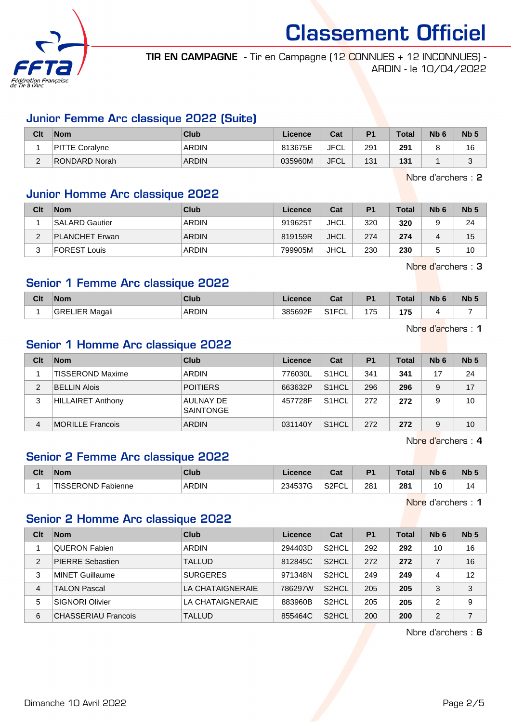

TIR EN CAMPAGNE - Tir en Campagne (12 CONNUES + 12 INCONNUES) - ARDIN - le 10/04/2022

#### Junior Femme Arc classique 2022 (Suite)

| Clt                | <b>Nom</b>     | <b>Club</b>  | Licence | Cat         | D <sub>1</sub> | <b>Total</b> | N <sub>b</sub> 6 | N <sub>b</sub> <sub>5</sub> |
|--------------------|----------------|--------------|---------|-------------|----------------|--------------|------------------|-----------------------------|
|                    | PITTE Coralyne | ARDIN        | 813675E | <b>JFCL</b> | 291            | 291          |                  | 16                          |
| $\sim$<br><u>_</u> | RONDARD Norah  | <b>ARDIN</b> | 035960M | <b>JFCL</b> | 131            | 131          |                  | ⌒                           |

Nbre d'archers : 2

## Junior Homme Arc classique 2022

| Clt | <b>Nom</b>            | Club         | Licence | Cat         | P <sub>1</sub> | <b>Total</b> | Nb <sub>6</sub> | Nb <sub>5</sub> |
|-----|-----------------------|--------------|---------|-------------|----------------|--------------|-----------------|-----------------|
|     | <b>SALARD Gautier</b> | <b>ARDIN</b> | 919625T | JHCL        | 320            | 320          | 9               | 24              |
| ົ   | <b>PLANCHET Erwan</b> | <b>ARDIN</b> | 819159R | <b>JHCL</b> | 274            | 274          | 4               | 15              |
| ົ   | <b>FOREST Louis</b>   | <b>ARDIN</b> | 799905M | JHCL        | 230            | 230          |                 | 10              |

Nbre d'archers : 3

#### Senior 1 Femme Arc classique 2022

| 385692F<br><b>ARDIN</b><br><br>GREL<br><b>IFR</b><br>Magali<br>ີ | 0.150<br>◡∟<br>. | 175 | 175 |  |
|------------------------------------------------------------------|------------------|-----|-----|--|

Nbre d'archers : 1

## Senior 1 Homme Arc classique 2022

| Clt | <b>Nom</b>               | Club                          | Licence | Cat                | P <sub>1</sub> | <b>Total</b> | Nb <sub>6</sub> | Nb <sub>5</sub> |
|-----|--------------------------|-------------------------------|---------|--------------------|----------------|--------------|-----------------|-----------------|
|     | TISSEROND Maxime         | <b>ARDIN</b>                  | 776030L | S <sub>1</sub> HCL | 341            | 341          | 17              | 24              |
| 2   | <b>BELLIN Alois</b>      | <b>POITIERS</b>               | 663632P | S <sub>1</sub> HCL | 296            | 296          | 9               | 17              |
| 3   | <b>HILLAIRET Anthony</b> | AULNAY DE<br><b>SAINTONGE</b> | 457728F | S <sub>1</sub> HCL | 272            | 272          | 9               | 10              |
| 4   | <b>MORILLE Francois</b>  | <b>ARDIN</b>                  | 031140Y | S <sub>1</sub> HCL | 272            | 272          | 9               | 10              |

Nbre d'archers : 4

# Senior 2 Femme Arc classique 2022

| <b>Clt</b> | <b>Nom</b>         | <b>Club</b>  | Licence | $\sim$<br>ua             | D <sub>1</sub> | Total         | <b>N<sub>b</sub></b> | Nb <sub>5</sub> |
|------------|--------------------|--------------|---------|--------------------------|----------------|---------------|----------------------|-----------------|
|            | TISSEROND Fabienne | <b>ARDIN</b> | 234537G | S <sub>2</sub> FCI<br>◡∟ | 281            | 281<br>$\sim$ | 10                   | $\overline{a}$  |

Nbre d'archers : 1

## Senior 2 Homme Arc classique 2022

| Clt           | <b>Nom</b>                 | Club             | Licence | Cat                | P <sub>1</sub> | <b>Total</b> | Nb <sub>6</sub> | Nb <sub>5</sub> |
|---------------|----------------------------|------------------|---------|--------------------|----------------|--------------|-----------------|-----------------|
|               | <b>QUERON Fabien</b>       | <b>ARDIN</b>     | 294403D | S <sub>2</sub> HCL | 292            | 292          | 10              | 16              |
| $\mathcal{P}$ | <b>PIERRE Sebastien</b>    | <b>TALLUD</b>    | 812845C | S <sub>2</sub> HCL | 272            | 272          |                 | 16              |
| 3             | <b>MINET Guillaume</b>     | <b>SURGERES</b>  | 971348N | S <sub>2</sub> HCL | 249            | 249          | 4               | 12              |
| 4             | TALON Pascal               | LA CHATAIGNERAIE | 786297W | S <sub>2</sub> HCL | 205            | 205          | 3               | 3               |
| 5             | <b>SIGNORI Olivier</b>     | LA CHATAIGNERAIE | 883960B | S <sub>2</sub> HCL | 205            | 205          | 2               | 9               |
| 6             | <b>CHASSERIAU Francois</b> | <b>TALLUD</b>    | 855464C | S <sub>2</sub> HCL | 200            | 200          | 2               | 7               |

Nbre d'archers : 6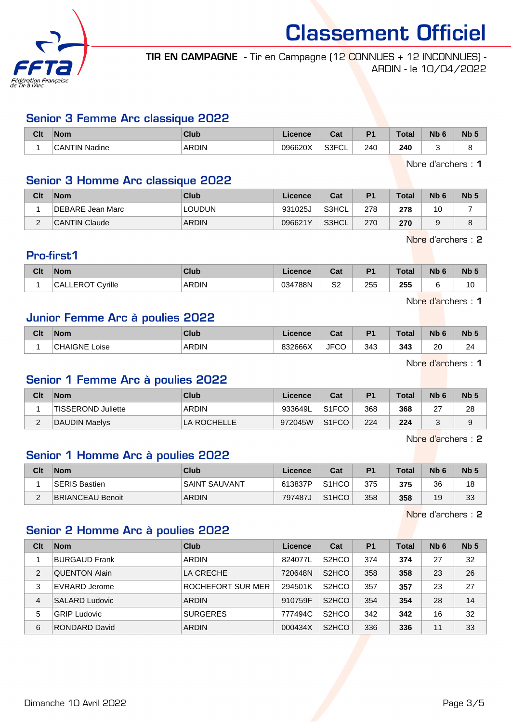

TIR EN CAMPAGNE - Tir en Campagne (12 CONNUES + 12 INCONNUES) - ARDIN - le 10/04/2022

#### Senior 3 Femme Arc classique 2022

| Clt | <b>Nom</b>                | Club         | <b>Ticence</b> | ີ່<br>uai            | D <sub>1</sub> | <b>Total</b> | Nb | <b>Nb</b> |
|-----|---------------------------|--------------|----------------|----------------------|----------------|--------------|----|-----------|
|     | <b>CANTIN</b><br>' Nadine | <b>ARDIN</b> | 096620X        | 0.0001<br>త3⊧′<br>◡∟ | 240            | 240          |    |           |

Nbre d'archers : 1

## Senior 3 Homme Arc classique 2022

| Clt         | <b>Nom</b>       | Club          | ∟icence⊦ | Cat   | P <sub>1</sub> | Total | Nb <sub>6</sub> | N <sub>b</sub> 5 |
|-------------|------------------|---------------|----------|-------|----------------|-------|-----------------|------------------|
|             | DEBARE Jean Marc | <b>LOUDUN</b> | 931025J  | S3HCL | 278            | 278   | 10              |                  |
| $\sim$<br>- | CANTIN Claude    | <b>ARDIN</b>  | 096621Y  | S3HCL | 270            | 270   |                 | о                |

Nbre d'archers : 2

## Pro-first1

|           | Clt | <b>Nom</b>                      | <b>Club</b>  | icence  | $\sim$<br>uai | D <sub>1</sub> | Total | <b>Nb</b> | Nb <sub>5</sub>      |
|-----------|-----|---------------------------------|--------------|---------|---------------|----------------|-------|-----------|----------------------|
| __<br>- - |     | ੇ∨rille<br><b>FROT C</b><br>CAI | <b>ARDIN</b> | 034788N | S2            | 255            | 255   |           | $\overline{ }$<br>ιu |

Nbre d'archers : 1

#### Junior Femme Arc à poulies 2022

| Clt | <b>Nom</b>                       | Club         | <b>Ticence</b> | r.,<br>⊍a   | D <sub>4</sub> | <b>Total</b> | Nb           | <b>N<sub>b</sub></b> |
|-----|----------------------------------|--------------|----------------|-------------|----------------|--------------|--------------|----------------------|
|     | $\sim$<br><b>HAIGNE</b><br>∟oise | <b>ARDIN</b> | 832666X        | <b>JFCC</b> | 343            | 343          | 20<br>$\sim$ | 24                   |

Nbre d'archers : 1

#### Senior 1 Femme Arc à poulies 2022

| Clt      | <b>Nom</b>         | Club         | Licence | Cat                | P1  | <b>Total</b> | N <sub>b</sub> <sub>6</sub> | Nb <sub>5</sub> |
|----------|--------------------|--------------|---------|--------------------|-----|--------------|-----------------------------|-----------------|
|          | TISSEROND Juliette | <b>ARDIN</b> | 933649L | S1FCO              | 368 | 368          | 27                          | 28              |
| <u>_</u> | DAUDIN Maelys      | LA ROCHELLE  | 972045W | S <sub>1</sub> FCO | 224 | 224          |                             | a<br>ັ          |

Nbre d'archers : 2

### Senior 1 Homme Arc à poulies 2022

| Clt         | <b>Nom</b>              | Club          | Licence | Cat                | P <sub>1</sub> | <b>Total</b> | Nb <sub>6</sub> | N <sub>b</sub> 5 |
|-------------|-------------------------|---------------|---------|--------------------|----------------|--------------|-----------------|------------------|
|             | SERIS Bastien           | SAINT SAUVANT | 613837P | S <sub>1</sub> HCO | 375            | 375          | 36              | 18               |
| $\sim$<br>- | <b>BRIANCEAU Benoit</b> | <b>ARDIN</b>  | 797487J | S <sub>1</sub> HCO | 358            | 358          | 19              | 33               |

Nbre d'archers : 2

## Senior 2 Homme Arc à poulies 2022

| Clt | <b>Nom</b>           | Club              | Licence | Cat                            | P <sub>1</sub> | <b>Total</b> | N <sub>b</sub> 6 | Nb <sub>5</sub> |
|-----|----------------------|-------------------|---------|--------------------------------|----------------|--------------|------------------|-----------------|
|     | <b>BURGAUD Frank</b> | <b>ARDIN</b>      | 824077L | S <sub>2</sub> HCO             | 374            | 374          | 27               | 32              |
| 2   | <b>QUENTON Alain</b> | LA CRECHE         | 720648N | S <sub>2</sub> H <sub>CO</sub> | 358            | 358          | 23               | 26              |
| 3   | EVRARD Jerome        | ROCHEFORT SUR MER | 294501K | S <sub>2</sub> HCO             | 357            | 357          | 23               | 27              |
| 4   | SALARD Ludovic       | <b>ARDIN</b>      | 910759F | S <sub>2</sub> H <sub>CO</sub> | 354            | 354          | 28               | 14              |
| 5   | <b>GRIP Ludovic</b>  | <b>SURGERES</b>   | 777494C | S <sub>2</sub> HCO             | 342            | 342          | 16               | 32              |
| 6   | RONDARD David        | <b>ARDIN</b>      | 000434X | S <sub>2</sub> HCO             | 336            | 336          | 11               | 33              |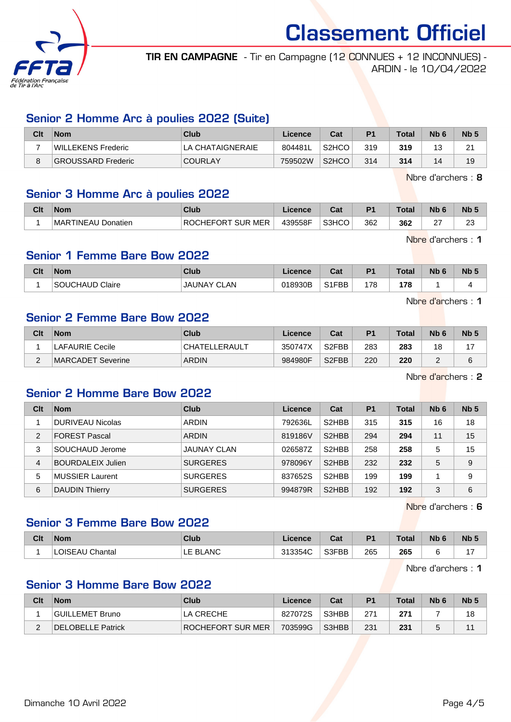

TIR EN CAMPAGNE - Tir en Campagne (12 CONNUES + 12 INCONNUES) - ARDIN - le 10/04/2022

## Senior 2 Homme Arc à poulies 2022 (Suite)

| Clt | <b>Nom</b>         | Club             | Licence | Cat                | P <sub>1</sub> | Total | N <sub>b</sub> 6 | Nb <sub>5</sub>       |
|-----|--------------------|------------------|---------|--------------------|----------------|-------|------------------|-----------------------|
|     | WILLEKENS Frederic | LA CHATAIGNERAIE | 804481L | S <sub>2</sub> HCO | 319            | 319   |                  | <b>04</b><br><u>.</u> |
|     | GROUSSARD Frederic | <b>COURLAY</b>   | 759502W | S <sub>2</sub> HCO | 314            | 314   |                  | 19                    |

Nbre d'archers : 8

## Senior 3 Homme Arc à poulies 2022

| Clt | Nom                | <b>Club</b>       | .icence | <b>Dol</b><br>uai | D.  | <b>Total</b> | <b>Nb</b>   | <b>N<sub>b</sub></b> |
|-----|--------------------|-------------------|---------|-------------------|-----|--------------|-------------|----------------------|
|     | MARTINEAU Donatien | ROCHEFORT SUR MER | 439558F | S3HCO             | 362 | 362          | $\sim$<br>∠ | nn<br>∠∪             |

Nbre d'archers : 1

#### Senior 1 Femme Bare Bow 2022

| Clt | Nom                          | <b>Club</b>          | icence  | $\sim$<br>val | D <sub>4</sub> | Total         | Nb | <b>Nb</b> |
|-----|------------------------------|----------------------|---------|---------------|----------------|---------------|----|-----------|
|     | .UE<br>Claire<br>c0<br>DUCHA | AN.<br><b>JAUNAY</b> | 018930B | S1FBB         | 178            | 178<br>$\sim$ |    |           |

Nbre d'archers : 1

## Senior 2 Femme Bare Bow 2022

| Clt | <b>Nom</b>        | Club                 | Licence | Cat                | D <sub>1</sub> | <b>Total</b> | N <sub>b</sub> 6 | Nb <sub>5</sub> |
|-----|-------------------|----------------------|---------|--------------------|----------------|--------------|------------------|-----------------|
|     | LAFAURIE Cecile   | <b>CHATELLERAULT</b> | 350747X | S <sub>2</sub> FBB | 283            | 283          | 18               | $4 -$           |
|     | MARCADET Severine | <b>ARDIN</b>         | 984980F | S <sub>2</sub> FBB | 220            | 220          | -                | 6               |

Nbre d'archers : 2

# Senior 2 Homme Bare Bow 2022

| Clt            | <b>Nom</b>               | Club            | Licence | Cat                | <b>P1</b> | <b>Total</b> | N <sub>b</sub> 6 | Nb <sub>5</sub> |
|----------------|--------------------------|-----------------|---------|--------------------|-----------|--------------|------------------|-----------------|
|                | <b>DURIVEAU Nicolas</b>  | <b>ARDIN</b>    | 792636L | S <sub>2</sub> HBB | 315       | 315          | 16               | 18              |
| $\overline{2}$ | <b>FOREST Pascal</b>     | <b>ARDIN</b>    | 819186V | S <sub>2</sub> HBB | 294       | 294          | 11               | 15              |
| 3              | SOUCHAUD Jerome          | JAUNAY CLAN     | 026587Z | S <sub>2</sub> HBB | 258       | 258          | 5                | 15              |
| 4              | <b>BOURDALEIX Julien</b> | <b>SURGERES</b> | 978096Y | S <sub>2</sub> HBB | 232       | 232          | 5                | 9               |
| 5              | <b>MUSSIER Laurent</b>   | <b>SURGERES</b> | 837652S | S <sub>2</sub> HBB | 199       | 199          |                  | 9               |
| 6              | <b>DAUDIN Thierry</b>    | <b>SURGERES</b> | 994879R | S <sub>2</sub> HBB | 192       | 192          | 3                | 6               |

Nbre d'archers : 6

# Senior 3 Femme Bare Bow 2022

| Clt | <b>Nom</b>         | Club         | Licence | ີລະ<br>⊍a | D <sub>1</sub> | <b>Total</b> | <b>Nb</b> | <b>Nb</b> |
|-----|--------------------|--------------|---------|-----------|----------------|--------------|-----------|-----------|
|     | Chantal<br>LOISEAU | ` BLANC<br>ᄂ | 313354C | S3FBB     | 265            | 265          |           |           |

Nbre d'archers : 1

### Senior 3 Homme Bare Bow 2022

| Clt | <b>Nom</b>        | Club              | Licence | Cat   | P <sub>1</sub> | Total | N <sub>b</sub> 6 | Nb <sub>5</sub> |
|-----|-------------------|-------------------|---------|-------|----------------|-------|------------------|-----------------|
|     | GUILLEMET Bruno   | LA CRECHE         | 827072S | S3HBB | 271            | 271   |                  | 18              |
|     | DELOBELLE Patrick | ROCHEFORT SUR MER | 703599G | S3HBB | 231            | 231   |                  | 11              |